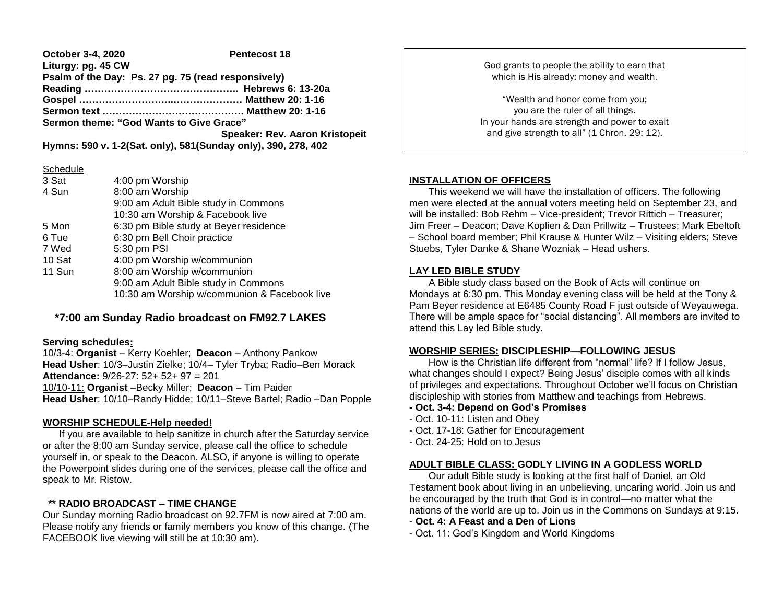**October 3-4, 2020 Pentecost 18 Liturgy: pg. 45 CW Psalm of the Day: Ps. 27 pg. 75 (read responsively) Reading ……………………………………….. Hebrews 6: 13-20a Gospel ………………………..………………… Matthew 20: 1-16 Sermon text ……………………………………. Matthew 20: 1-16 Sermon theme: "God Wants to Give Grace" Speaker: Rev. Aaron Kristopeit Hymns: 590 v. 1-2(Sat. only), 581(Sunday only), 390, 278, 402**

#### **Schedule**

| 3 Sat  | 4:00 pm Worship                              |  |  |
|--------|----------------------------------------------|--|--|
| 4 Sun  | 8:00 am Worship                              |  |  |
|        | 9:00 am Adult Bible study in Commons         |  |  |
|        | 10:30 am Worship & Facebook live             |  |  |
| 5 Mon  | 6:30 pm Bible study at Beyer residence       |  |  |
| 6 Tue  | 6:30 pm Bell Choir practice                  |  |  |
| 7 Wed  | 5:30 pm PSI                                  |  |  |
| 10 Sat | 4:00 pm Worship w/communion                  |  |  |
| 11 Sun | 8:00 am Worship w/communion                  |  |  |
|        | 9:00 am Adult Bible study in Commons         |  |  |
|        | 10:30 am Worship w/communion & Facebook live |  |  |

# **\*7:00 am Sunday Radio broadcast on FM92.7 LAKES**

#### **Serving schedules:**

10/3-4: **Organist** – Kerry Koehler; **Deacon** – Anthony Pankow **Head Usher**: 10/3–Justin Zielke; 10/4– Tyler Tryba; Radio–Ben Morack **Attendance:** 9/26-27: 52+ 52+ 97 = 201 10/10-11: **Organist** –Becky Miller; **Deacon** – Tim Paider **Head Usher**: 10/10–Randy Hidde; 10/11–Steve Bartel; Radio –Dan Popple

### **WORSHIP SCHEDULE-Help needed!**

 If you are available to help sanitize in church after the Saturday service or after the 8:00 am Sunday service, please call the office to schedule yourself in, or speak to the Deacon. ALSO, if anyone is willing to operate the Powerpoint slides during one of the services, please call the office and speak to Mr. Ristow.

### **\*\* RADIO BROADCAST – TIME CHANGE**

Our Sunday morning Radio broadcast on 92.7FM is now aired at 7:00 am. Please notify any friends or family members you know of this change. (The FACEBOOK live viewing will still be at 10:30 am).

God grants to people the ability to earn that which is His already: money and wealth.

"Wealth and honor come from you; you are the ruler of all things. In your hands are strength and power to exalt and give strength to all" (1 Chron. 29: 12).

## **INSTALLATION OF OFFICERS**

This weekend we will have the installation of officers. The following men were elected at the annual voters meeting held on September 23, and will be installed: Bob Rehm – Vice-president; Trevor Rittich – Treasurer; Jim Freer – Deacon; Dave Koplien & Dan Prillwitz – Trustees; Mark Ebeltoft – School board member; Phil Krause & Hunter Wilz – Visiting elders; Steve Stuebs, Tyler Danke & Shane Wozniak – Head ushers.

### **LAY LED BIBLE STUDY**

 A Bible study class based on the Book of Acts will continue on Mondays at 6:30 pm. This Monday evening class will be held at the Tony & Pam Beyer residence at E6485 County Road F just outside of Weyauwega. There will be ample space for "social distancing". All members are invited to attend this Lay led Bible study.

### **WORSHIP SERIES: DISCIPLESHIP—FOLLOWING JESUS**

 How is the Christian life different from "normal" life? If I follow Jesus, what changes should I expect? Being Jesus' disciple comes with all kinds of privileges and expectations. Throughout October we'll focus on Christian discipleship with stories from Matthew and teachings from Hebrews.

#### **- Oct. 3-4: Depend on God's Promises**

- Oct. 10-11: Listen and Obey
- Oct. 17-18: Gather for Encouragement
- Oct. 24-25: Hold on to Jesus

## **ADULT BIBLE CLASS: GODLY LIVING IN A GODLESS WORLD**

 Our adult Bible study is looking at the first half of Daniel, an Old Testament book about living in an unbelieving, uncaring world. Join us and be encouraged by the truth that God is in control—no matter what the nations of the world are up to. Join us in the Commons on Sundays at 9:15.

- **Oct. 4: A Feast and a Den of Lions**
- Oct. 11: God's Kingdom and World Kingdoms